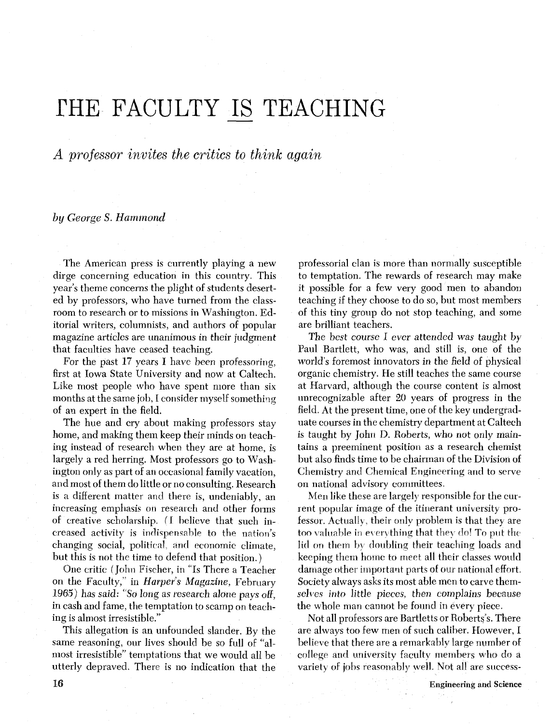# FHE FACULTY IS TEACHING

*A professor* invites *the critics to think again* 

by **George** S. *Hammond* 

The American press is currently playing a new dirge concerning education in this country. This year's theme concerns the plight of students deserted by professors, who have turned from the classroom to research or to missions in Washington. Editorial writers, columnists, and authors of popular magazine articles are unanimous in their judgment that faculties have ceased teaching.

For the past 17 years I have been professoring, first at Iowa State University and now at Caltech. Like most people who have spent more than six months at the same job, I consider myself something of an expert in the field.

The hue and cry about making professors stay home, and making them keep their minds on teaching instead of research when they are at home, is largely a red herring. Most professors go to Washington only as part of an occasional family vacation, and most of them do little or noconsulting. Research is a different matter and there is, undeniably, an increasing emphasis on research and other forms of creative scholarship. **(1** believe that such increased activity is indispensable to the nation's changing social, political, and economic climate, but this is not the time to defend that position.)

One critic (John Fischer, in "Is There a Teacher on the Faculty," in Harper's Magazine, February 1965) has said: "So long as research alone pays off, in cash and fame, the temptation to scamp on teaching is almost irresistible."

This allegation is an unfounded slander. By the same reasoning, our lives should be so full of "almost irresistible" temptations that we would all be utterly depraved. There is no indication that the

professorial clan is more than normally susceptible to temptation. The rewards of research may make it possible for a few very good men to abandon teaching if they choose to do so, but most members of this tiny group do not stop teaching, and some are brilliant teachers.

The best course I ever attended was taught by Paul Bartlett, who was, and still is, one of the world's foremost innovators in the field of physical organic chemistry. He still teaches the same course at Harvard, although the course content is almost unrecognizable after 20 years of progress in the field. At the present time, one of the key undergraduate courses in the chemistry department at Caltech is taught by John D. Roberts, who not only maintains a preeminent position as a research chemist but also finds time to be chairman of the Division of Chemistry and Chemical Engineering and to serve on national advisory committees.

Men like these are largely responsible for the current popular image of the itinerant university professor. Actually, their only problem is that they are too valuable in everything that they do! To put the lid on them by doubling their teaching loads and keeping them home to meet all their classes would damage other important parts of our national effort. Society always asks its most able men to carve thernselves into little pieces, then complains because the whole man cannot be found in every piece.

Not all professors are Bartletts or Roberts's. There are always too few men of such caliber. However, I believe that there are a remarkably large number of college and university faculty members who do a variety of jobs reasonably well. Not all are success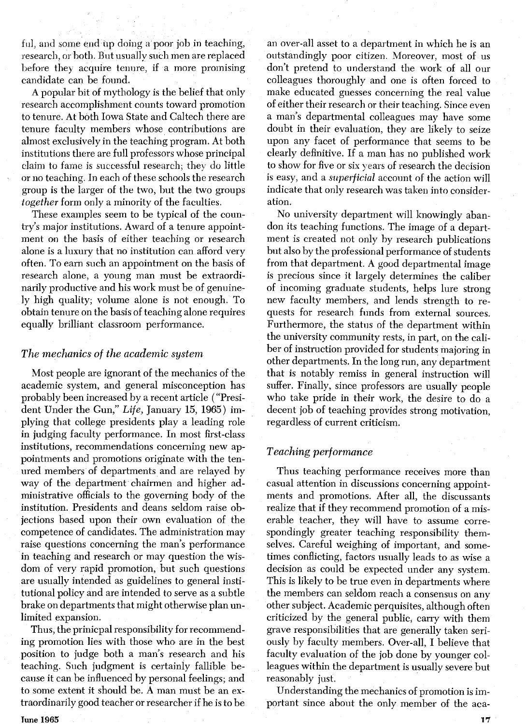ful, and some end up doing a poor job in teaching, research, or both. But usually such men are replaced before they acquire tenure, if a more promising candidate can be found.

A popular bit of mythology is the belief that only research accomplishment counts toward promotion to tenure. At both Iowa State and Caltech there are tenure faculty members whose contributions are almost exclusively in the teaching program. At both institutions there are full professors whose principal claim to fame is successful research; they do little or no teaching. In each of these schools the research group is the larger of the two, but the two groups *together* form only a minority of the faculties.

These examples seem to be typical of the country's major institutions. Award of a tenure appointment on the basis of either teaching or research alone is a luxury that no institution can afford very often. To earn such an appointment on the basis of research alone, a young man must be extraordinarily productive and his work must be of genuinely high quality; volume alone is not enough. To obtain tenure on the basis of teaching alone requires equally brilliant classroom performance.

#### *The mechanics of the academic system*

Most people are ignorant of the mechanics of the academic system, and general misconception has probably been increased by a recent article ("President Under the Gun," *Life,* January 15, 1965) implying that college presidents play a leading role in judging faculty performance. In most first-class institutions, recommendations concerning new appointments and promotions originate with the tenured members of departments and are relayed by way of the department chairmen and higher administrative officials to the governing body of the institution. Presidents and deans seldom raise objections based upon their own evaluation of the competence of candidates. The administration may raise questions concerning the man's performance in teaching and research or may question the wisdom of very rapid promotion, but such questions are usually intended as guidelines to general institutional policy and are intended to serve as a subtle brake on departments that might otherwise plan unlimited expansion.

Thus, the prinicpal responsibility for recommending promotion lies with those who are in the best position to judge both a man's research and his teaching. Such judgment is certainly fallible because it can be influenced by personal feelings; and to some extent it should be. A man must be an extraordinarily good teacher or researcher if he is to be

**Tune 1965** 

an over-all asset to a department in which he is an outstandingly poor citizen. Moreover, most of us don't pretend to understand the work of all our colleagues thoroughly and one is often forced to make educated guesses concerning the real value of either their research or their teaching. Since even a man's departmental colleagues may have some doubt in their evaluation, they are likely to seize upon any facet of performance that seems to be clearly definitive. If a man has no published work to show for five or six years of research the decision is easy, and a *superficial* account of the action will indicate that only research was taken into consideration.

No university department will knowingly abandon its teaching functions. The image of a department is created not only by research publications but also by the professional performance of students from that department. A good departmental image is precious since it largely determines the caliber of incoming graduate students, helps lure strong new faculty members, and lends strength to requests for research funds from external sources. Furthermore, the status of the department within the university community rests, in part, on the caliber of instruction provided for students majoring in other departments. In the long run, any department that is notably remiss in general instruction will suffer. Finally, since professors are usually people who take pride in their work, the desire to do a decent job of teaching provides strong motivation, regardless of current criticism.

## *Teaching performance*

Thus teaching performance receives more than casual attention in discussions concerning appointments and promotions. After all, the discussants realize that if they recommend promotion of a miserable teacher, they will have to assume correspondingly greater teaching responsibility themselves. Careful weighing of important, and sometimes conflicting, factors usually leads to as wise a decision as could be expected under any system. This is likely to be true even in departments where the members can seldom reach a consensus on any other subject. Academic perquisites, although often criticized by the general public, carry with them grave responsibilities that are generally taken seriously by faculty members. Over-all, I believe that faculty evaluation of the job done by younger colleagues within the department is usually severe but reasonably just.

Understanding the mechanics of promotion is important since about the only member of the aca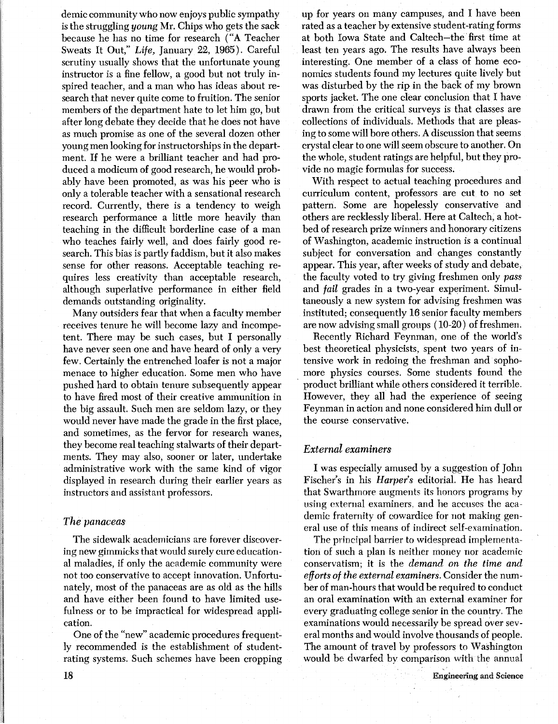demic community who now enjoys public sympathy is the struggling young Mr. Chips who gets the sack because he has no time for research **("A** Teacher Sweats It Out," *Life,* January 22, 1965). Careful scrutiny usually shows that the unfortunate young instructor is a fine fellow, a good but not truly inspired teacher, and a man who has ideas about research that never quite come to fruition. The senior members of the department hate to let him go, but after long debate they decide that he does not have as much promise as one of the several dozen other young men looking for instructorships in the department. If he were a brilliant teacher and had produced a modicum of good research, he would probably have been promoted, as was his peer who is only a tolerable teacher with a sensational research record. Currently, there is a tendency to weigh research performance a little more heavily than teaching in the difficult borderline case of a man who teaches fairly well, and does fairly good research. This bias is partly faddism, but it also makes sense for other reasons. Acceptable teaching requires less creativity than acceptable research, although superlative performance in either field demands outstanding originality.

Many outsiders fear that when a faculty member receives tenure he will become lazy and incompetent. There may be such cases, but I personally have never seen one and have heard of only a very few. Certainly the entrenched loafer is not a major menace to higher education. Some men who have pushed hard to obtain tenure subsequently appear to have fired most of their creative ammunition in the big assault. Such men are seldom lazy, or they would never have made the grade in the first place, and sometimes, as the fervor for research wanes, they become real teaching stalwarts of their departments. They may also, sooner or later, undertake administrative work with the same kind of vigor displayed in research during their earlier years as instructors and assistant professors.

## *The panaceas*

The sidewalk academicians are forever discovering new gimmicks that would surely cure educational maladies, if only the academic community were not too conservative to accept innovation. Unfortunately, most of the panaceas are as old as the hills and have either been found to have limited usefulness or to be impractical for widespread application.

One of the "new" academic procedures frequently recommended is the establishment of studentrating systems. Such schemes have been cropping up for years on many campuses, and I have been rated as a teacher by extensive student-rating forms at both Iowa State and Caltech-the first time at least ten years ago. The results have always been interesting. One member of a class of home economics students found my lectures quite lively but was disturbed by the rip in the back of my brown sports jacket. The one clear conclusion that I have drawn from the critical surveys is that classes are collections of individuals. Methods that are pleasing to some will bore others. **A** discussion that seems crystal clear to one will seem obscure to another. On the whole, student ratings are helpful, but they provide no magic formulas for success.

With respect to actual teaching procedures and curriculum content, professors are cut to no set pattern. Some are hopelessly conservative and others are recklessly liberal. Here at Caltech, a hotbed of research prize winners and honorary citizens of Washington, academic instruction is a continual subject for conversation and changes constantly appear. This year, after weeks of study and debate, the faculty voted to try giving freshmen only *pass*  and *fail* grades in a two-year experiment. Simultaneously a new system for advising freshmen was instituted; consequently 16 senior faculty members are now advising small groups ( 10-20) of freshmen.

Recently Richard Feynman, one of the world's best theoretical physicists, spent two years of intensive work in redoing the freshman and sophomore physics courses. Some students found the product brilliant while others considered it terrible. However, they all had the experience of seeing Feynman in action and none considered him dull or the course conservative.

# *External examiners*

I was especially amused by a suggestion of John Fischer's in his *Harper's* editorial. He has heard that Swarthmore augments its honors programs by using external examiners, and he accuses the academic fraternity of cowardice for not making general use of this means of indirect self-examination.

The principal barrier to widespread implementation of such a plan is neither money nor academic conservatism; it is the *demand* on *the time and efforts of the external examiners.* Consider the number of man-hours that would be required to conduct an oral examination with an external examiner for every graduating college senior in the country. The examinations would necessarily be spread over several months and would involve thousands of people. The amount of travel by professors to Washington would be dwarfed by comparison with the annual